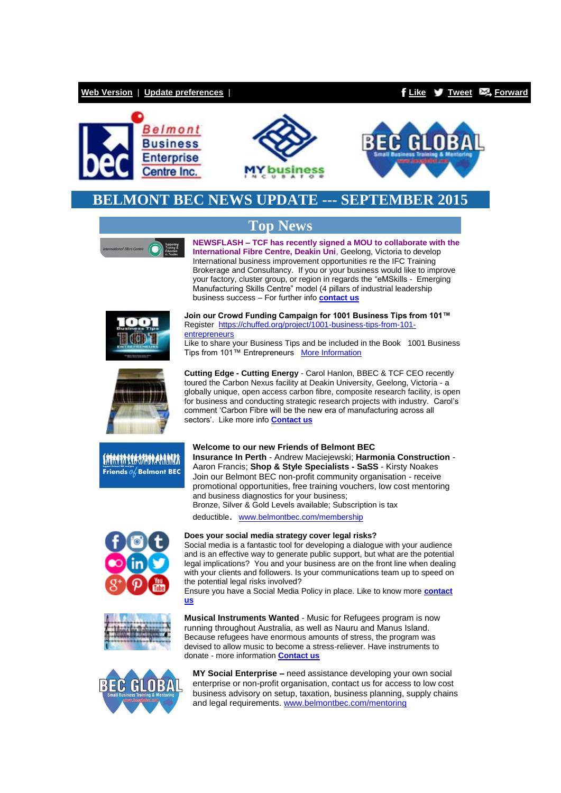### **[Web Version](http://bbec.bridgewaymailer.com/t/j-e-hjtjgk-l-y/)** | **[Update preferences](http://belmontbec.updatemyprofile.com/j-l-2AD73FFF-l-j)** | **[Like](http://bbec.bridgewaymailer.com/t/j-fb-hjtjgk-l-k/) [Tweet](http://bbec.bridgewaymailer.com/t/j-tw-hjtjgk-l-o/) [Forward](http://belmontbec.forwardtomyfriend.com/j-l-2AD73FFF-hjtjgk-l-n)**







## **BELMONT BEC NEWS UPDATE --- SEPTEMBER 2015**



**Top News NEWSFLASH – TCF has recently signed a MOU to collaborate with the International Fibre Centre, Deakin Uni**, Geelong, Victoria to develop

International business improvement opportunities re the IFC Training Brokerage and Consultancy. If you or your business would like to improve your factory, cluster group, or region in regards the "eMSkills - Emerging Manufacturing Skills Centre" model (4 pillars of industrial leadership business success – For further info **[contact us](mailto:support@tcfwa.com?subject=Re%3A%20IFC%20Training%20Brokerage%20and%20Consultancy%20Newsletter%20Sep%202015)**





**Join our Crowd Funding Campaign for 1001 Business Tips from 101™** Register [https://chuffed.org/project/1001-business-tips-from-101](http://bbec.bridgewaymailer.com/t/j-i-hjtjgk-l-x/) [entrepreneurs](http://bbec.bridgewaymailer.com/t/j-i-hjtjgk-l-x/)

Like to share your Business Tips and be included in the Book 1001 Business Tips from 101™ Entrepreneurs [More Information](http://bbec.bridgewaymailer.com/t/j-i-hjtjgk-l-m/)

**Cutting Edge - Cutting Energy** - Carol Hanlon, BBEC & TCF CEO recently toured the Carbon Nexus facility at Deakin University, Geelong, Victoria - a globally unique, open access carbon fibre, composite research facility, is open for business and conducting strategic research projects with industry. Carol's comment 'Carbon Fibre will be the new era of manufacturing across all sectors'. Like more info **[Contact us](mailto:support@belmontbec.com?subject=Cutting%20Edge%20-%20Cutting%20Energy)**

#### **Welcome to our new Friends of Belmont BEC Insurance In Perth** - Andrew Maciejewski; **Harmonia Construction** - Aaron Francis; **Shop & Style Specialists - SaSS** - Kirsty Noakes Join our Belmont BEC non-profit community organisation - receive promotional opportunities, free training vouchers, low cost mentoring and business diagnostics for your business;

Bronze, Silver & Gold Levels available; Subscription is tax

deductible. [www.belmontbec.com/membership](http://bbec.bridgewaymailer.com/t/j-i-hjtjgk-l-c/)





**BEC GLOBAL** 

### **Does your social media strategy cover legal risks?**

Social media is a fantastic tool for developing a dialogue with your audience and is an effective way to generate public support, but what are the potential legal implications? You and your business are on the front line when dealing with your clients and followers. Is your communications team up to speed on the potential legal risks involved?

Ensure you have a Social Media Policy in place. Like to know more **[contact](mailto:support@belmontbec.com?subject=Re%3A%20Does%20your%20social%20media%20strategy%20cover%20legal%20risks%3F)  [us](mailto:support@belmontbec.com?subject=Re%3A%20Does%20your%20social%20media%20strategy%20cover%20legal%20risks%3F)**

**Musical Instruments Wanted** - Music for Refugees program is now running throughout Australia, as well as Nauru and Manus Island. Because refugees have enormous amounts of stress, the program was devised to allow music to become a stress-reliever. Have instruments to donate - more information **[Contact us](mailto:info@belmontbec.com?subject=Re%3A%20Music%20instruments%20wanted)**



**MY Social Enterprise –** need assistance developing your own social enterprise or non-profit organisation, contact us for access to low cost business advisory on setup, taxation, business planning, supply chains and legal requirements. [www.belmontbec.com/mentoring](http://bbec.bridgewaymailer.com/t/j-i-hjtjgk-l-q/)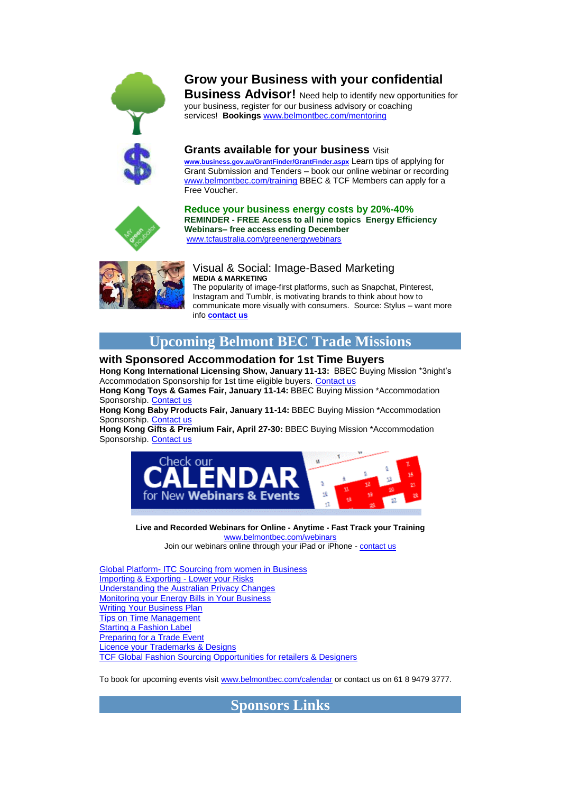

# **Grow your Business with your confidential**

**Business Advisor!** Need help to identify new opportunities for your business, register for our business advisory or coaching services! **Bookings** [www.belmontbec.com/mentoring](http://bbec.bridgewaymailer.com/t/j-i-hjtjgk-l-a/)

**Grants available for your business** Visit **[www.business.gov.au/GrantFinder/GrantFinder.aspx](http://bbec.bridgewaymailer.com/t/j-i-hjtjgk-l-f/)** Learn tips of applying for Grant Submission and Tenders – book our online webinar or recording [www.belmontbec.com/training](http://bbec.bridgewaymailer.com/t/j-i-hjtjgk-l-z/) BBEC & TCF Members can apply for a Free Voucher.



**Reduce your business energy costs by 20%-40% REMINDER - FREE Access to all nine topics Energy Efficiency Webinars– free access ending December** [www.tcfaustralia.com/greenenergywebinars](http://bbec.bridgewaymailer.com/t/j-i-hjtjgk-l-v/)



### Visual & Social: Image-Based Marketing **MEDIA & MARKETING**

The popularity of image-first platforms, such as Snapchat, Pinterest, Instagram and Tumblr, is motivating brands to think about how to communicate more visually with consumers. Source: Stylus – want more info **[contact us](mailto:support@belmontbec.com?subject=Re%3AVisual%20%26%20Social%3A%20Image-Based%20Marketing)**

# **Upcoming Belmont BEC Trade Missions**

## **with Sponsored Accommodation for 1st Time Buyers**

**Hong Kong International Licensing Show, January 11-13:** BBEC Buying Mission \*3night's Accommodation Sponsorship for 1st time eligible buyers. [Contact us](mailto:events@belmontbec.com?subject=BBEC%20Buying%20Mission%20*Accommodation%20Sponsorship%20Licensing%20Show)

**Hong Kong Toys & Games Fair, January 11-14:** BBEC Buying Mission \*Accommodation Sponsorship[. Contact us](mailto:events@belmontbec.com?subject=BBEC%20Buying%20Mission%20*Accommodation%20Sponsorship%20Toys%20%26%20Games)

**Hong Kong Baby Products Fair, January 11-14:** BBEC Buying Mission \*Accommodation Sponsorship[. Contact us](mailto:events@belmontbec.com?subject=BBEC%20Buying%20Mission%20*Accommodation%20Sponsorship%20Baby%20Products)

**Hong Kong Gifts & Premium Fair, April 27-30:** BBEC Buying Mission \*Accommodation Sponsorship[. Contact us](mailto:events@belmontbec.com?subject=BBEC%20Buying%20Mission%20*Accommodation%20Sponsorship%20Gifts%20%26%20Premium)



**Live and Recorded Webinars for Online - Anytime - Fast Track your Training** [www.belmontbec.com/webinars](http://bbec.bridgewaymailer.com/t/j-i-hjtjgk-l-e/) Join our webinars online through your iPad or iPhone - [contact us](mailto:training@belmontbec.com?subject=Question%20-%20how%20to%20access%20the%20webinar%20on%20iPad%20or%20iPhone)

Global Platform- [ITC Sourcing from women in Business](http://bbec.bridgewaymailer.com/t/j-i-hjtjgk-l-s/) [Importing & Exporting -](http://bbec.bridgewaymailer.com/t/j-i-hjtjgk-l-g/) Lower your Risks [Understanding the Australian Privacy Changes](http://bbec.bridgewaymailer.com/t/j-i-hjtjgk-l-w/) [Monitoring your Energy Bills in Your Business](http://bbec.bridgewaymailer.com/t/j-i-hjtjgk-l-yd/) [Writing Your Business Plan](http://bbec.bridgewaymailer.com/t/j-i-hjtjgk-l-yh/) [Tips on Time Management](http://bbec.bridgewaymailer.com/t/j-i-hjtjgk-l-yk/) [Starting a Fashion Label](http://bbec.bridgewaymailer.com/t/j-i-hjtjgk-l-yu/) [Preparing for a Trade Event](http://bbec.bridgewaymailer.com/t/j-i-hjtjgk-l-jl/) [Licence your Trademarks & Designs](http://bbec.bridgewaymailer.com/t/j-i-hjtjgk-l-jr/) [TCF Global Fashion Sourcing Opportunities for retailers & Designers](http://bbec.bridgewaymailer.com/t/j-i-hjtjgk-l-jy/)

To book for upcoming events visi[t www.belmontbec.com/calendar](http://bbec.bridgewaymailer.com/t/j-i-hjtjgk-l-jj/) or contact us on 61 8 9479 3777.

**Sponsors Links**